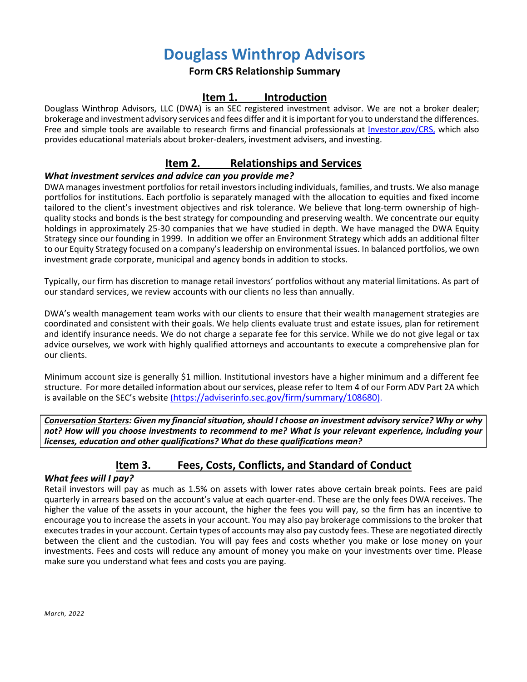# **Douglass Winthrop Advisors**

## **Form CRS Relationship Summary**

## **Item 1. Introduction**

Douglass Winthrop Advisors, LLC (DWA) is an SEC registered investment advisor. We are not a broker dealer; brokerage and investment advisory services and fees differ and it is important for you to understand the differences. Free and simple tools are available to research firms and financial professionals at [Investor.gov/CRS,](http://investor.gov/CRS,) which also provides educational materials about broker-dealers, investment advisers, and investing.

## **Item 2. Relationships and Services**

#### *What investment services and advice can you provide me?*

DWA manages investment portfolios for retail investors including individuals, families, and trusts. We also manage portfolios for institutions. Each portfolio is separately managed with the allocation to equities and fixed income tailored to the client's investment objectives and risk tolerance. We believe that long-term ownership of highquality stocks and bonds is the best strategy for compounding and preserving wealth. We concentrate our equity holdings in approximately 25-30 companies that we have studied in depth. We have managed the DWA Equity Strategy since our founding in 1999. In addition we offer an Environment Strategy which adds an additional filter to our Equity Strategy focused on a company's leadership on environmental issues. In balanced portfolios, we own investment grade corporate, municipal and agency bonds in addition to stocks.

Typically, our firm has discretion to manage retail investors' portfolios without any material limitations. As part of our standard services, we review accounts with our clients no less than annually.

DWA's wealth management team works with our clients to ensure that their wealth management strategies are coordinated and consistent with their goals. We help clients evaluate trust and estate issues, plan for retirement and identify insurance needs. We do not charge a separate fee for this service. While we do not give legal or tax advice ourselves, we work with highly qualified attorneys and accountants to execute a comprehensive plan for our clients.

Minimum account size is generally \$1 million. Institutional investors have a higher minimum and a different fee structure. For more detailed information about our services, please refer to Item 4 of our Form ADV Part 2A which is available on the SEC's website [\(h](https://adviserinfo.sec.gov/firm/summary/108680)ttps://adviserinfo.sec.gov/firm/summary/108680).

*Conversation Starters: Given my financial situation, should I choose an investment advisory service? Why or why not? How will you choose investments to recommend to me? What is your relevant experience, including your licenses, education and other qualifications? What do these qualifications mean?*

# **Item 3. Fees, Costs, Conflicts, and Standard of Conduct**

#### *What fees will I pay?*

Retail investors will pay as much as 1.5% on assets with lower rates above certain break points. Fees are paid quarterly in arrears based on the account's value at each quarter-end. These are the only fees DWA receives. The higher the value of the assets in your account, the higher the fees you will pay, so the firm has an incentive to encourage you to increase the assets in your account. You may also pay brokerage commissions to the broker that executes trades in your account. Certain types of accounts may also pay custody fees. These are negotiated directly between the client and the custodian. You will pay fees and costs whether you make or lose money on your investments. Fees and costs will reduce any amount of money you make on your investments over time. Please make sure you understand what fees and costs you are paying.